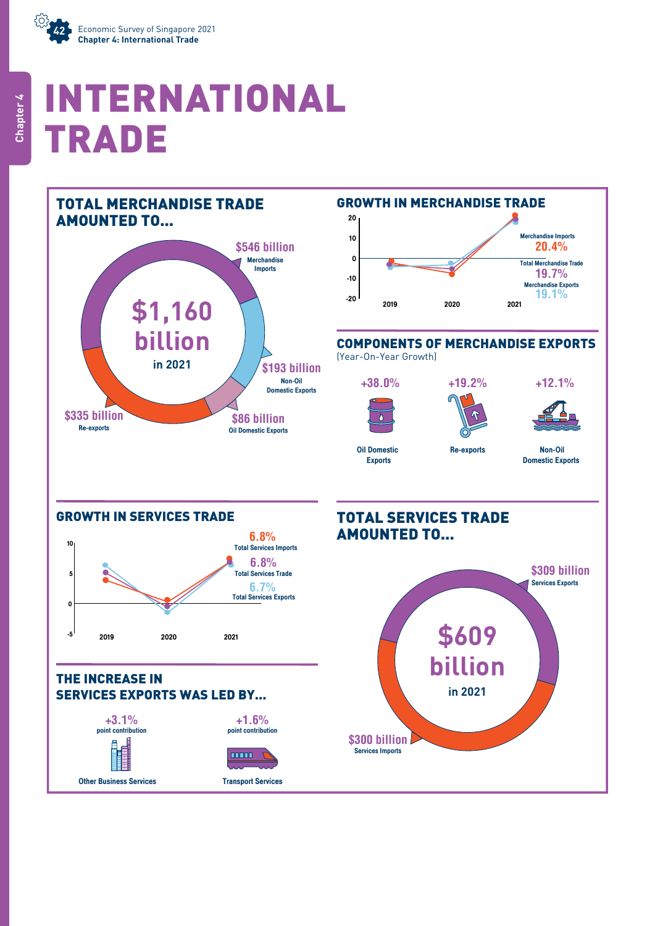

# INTERNATIONAL TRADE

TOTAL MERCHANDISE TRADE







#### COMPONENTS OF MERCHANDISE EXPORTS

Re-exports

(Year-On-Year Growth)







**+12.1%**

Oil Domestic Exports

Non-Oil Domestic Exports



point contribution



Other Business Services

Transport Services

# TOTAL SERVICES TRADE AMOUNTED TO...

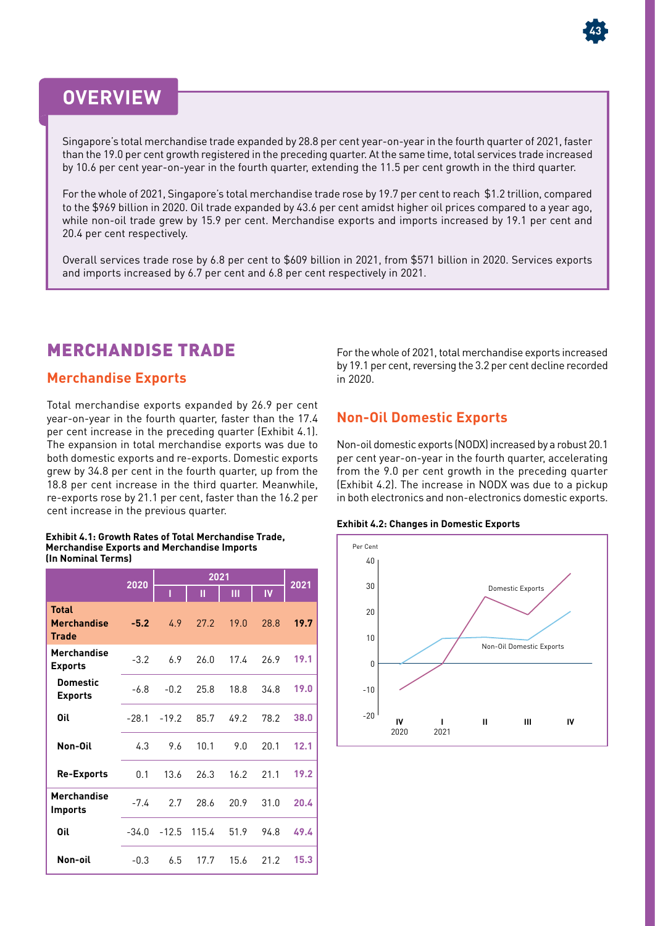# **OVERVIEW**

Singapore's total merchandise trade expanded by 28.8 per cent year-on-year in the fourth quarter of 2021, faster than the 19.0 per cent growth registered in the preceding quarter. At the same time, total services trade increased by 10.6 per cent year-on-year in the fourth quarter, extending the 11.5 per cent growth in the third quarter.

For the whole of 2021, Singapore's total merchandise trade rose by 19.7 per cent to reach \$1.2 trillion, compared to the \$969 billion in 2020. Oil trade expanded by 43.6 per cent amidst higher oil prices compared to a year ago, while non-oil trade grew by 15.9 per cent. Merchandise exports and imports increased by 19.1 per cent and 20.4 per cent respectively.

Overall services trade rose by 6.8 per cent to \$609 billion in 2021, from \$571 billion in 2020. Services exports and imports increased by 6.7 per cent and 6.8 per cent respectively in 2021.

## MERCHANDISE TRADE

#### **Merchandise Exports**

Total merchandise exports expanded by 26.9 per cent year-on-year in the fourth quarter, faster than the 17.4 per cent increase in the preceding quarter (Exhibit 4.1). The expansion in total merchandise exports was due to both domestic exports and re-exports. Domestic exports grew by 34.8 per cent in the fourth quarter, up from the 18.8 per cent increase in the third quarter. Meanwhile, re-exports rose by 21.1 per cent, faster than the 16.2 per cent increase in the previous quarter.

#### **Exhibit 4.1: Growth Rates of Total Merchandise Trade, Merchandise Exports and Merchandise Imports (In Nominal Terms)**

|                                                    | 2020    | 2021    |       |      |           |      |
|----------------------------------------------------|---------|---------|-------|------|-----------|------|
|                                                    |         | ı       | П     | Ш    | <b>IV</b> | 2021 |
| <b>Total</b><br><b>Merchandise</b><br><b>Trade</b> | $-5.2$  | 4.9     | 27.2  | 19.0 | 28.8      | 19.7 |
| Merchandise<br><b>Exports</b>                      | $-3.2$  | 6.9     | 26.0  | 17.4 | 26.9      | 19.1 |
| <b>Domestic</b><br><b>Exports</b>                  | $-6.8$  | $-0.2$  | 25.8  | 18.8 | 34.8      | 19.0 |
| Oil                                                | $-28.1$ | $-19.2$ | 85.7  | 49.2 | 78.2      | 38.0 |
| Non-Oil                                            | 4.3     | 9.6     | 10.1  | 9.0  | 20.1      | 12.1 |
| <b>Re-Exports</b>                                  | 0.1     | 13.6    | 26.3  | 16.2 | 21.1      | 19.2 |
| <b>Merchandise</b><br><b>Imports</b>               | $-7.4$  | 2.7     | 28.6  | 20.9 | 31.0      | 20.4 |
| Oil                                                | $-34.0$ | $-12.5$ | 115.4 | 51.9 | 94.8      | 49.4 |
| Non-oil                                            | $-0.3$  | 6.5     | 17.7  | 15.6 | 21.2      | 15.3 |

For the whole of 2021, total merchandise exports increased by 19.1 per cent, reversing the 3.2 per cent decline recorded in 2020.

## **Non-Oil Domestic Exports**

Non-oil domestic exports (NODX) increased by a robust 20.1 per cent year-on-year in the fourth quarter, accelerating from the 9.0 per cent growth in the preceding quarter (Exhibit 4.2). The increase in NODX was due to a pickup in both electronics and non-electronics domestic exports.





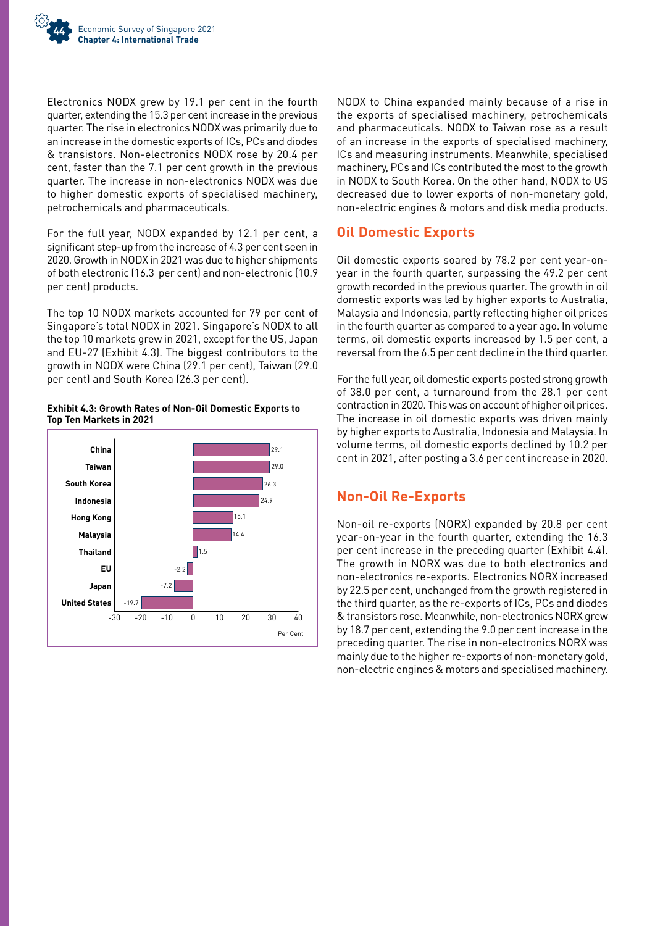

Electronics NODX grew by 19.1 per cent in the fourth quarter, extending the 15.3 per cent increase in the previous quarter. The rise in electronics NODX was primarily due to an increase in the domestic exports of ICs, PCs and diodes & transistors. Non-electronics NODX rose by 20.4 per cent, faster than the 7.1 per cent growth in the previous quarter. The increase in non-electronics NODX was due to higher domestic exports of specialised machinery, petrochemicals and pharmaceuticals.

For the full year, NODX expanded by 12.1 per cent, a significant step-up from the increase of 4.3 per cent seen in 2020. Growth in NODX in 2021 was due to higher shipments of both electronic (16.3 per cent) and non-electronic (10.9 per cent) products.

The top 10 NODX markets accounted for 79 per cent of Singapore's total NODX in 2021. Singapore's NODX to all the top 10 markets grew in 2021, except for the US, Japan and EU-27 (Exhibit 4.3). The biggest contributors to the growth in NODX were China (29.1 per cent), Taiwan (29.0 per cent) and South Korea (26.3 per cent).





NODX to China expanded mainly because of a rise in the exports of specialised machinery, petrochemicals and pharmaceuticals. NODX to Taiwan rose as a result of an increase in the exports of specialised machinery, ICs and measuring instruments. Meanwhile, specialised machinery, PCs and ICs contributed the most to the growth in NODX to South Korea. On the other hand, NODX to US decreased due to lower exports of non-monetary gold, non-electric engines & motors and disk media products.

#### **Oil Domestic Exports**

Oil domestic exports soared by 78.2 per cent year-onyear in the fourth quarter, surpassing the 49.2 per cent growth recorded in the previous quarter. The growth in oil domestic exports was led by higher exports to Australia, Malaysia and Indonesia, partly reflecting higher oil prices in the fourth quarter as compared to a year ago. In volume terms, oil domestic exports increased by 1.5 per cent, a reversal from the 6.5 per cent decline in the third quarter.

For the full year, oil domestic exports posted strong growth of 38.0 per cent, a turnaround from the 28.1 per cent contraction in 2020. This was on account of higher oil prices. The increase in oil domestic exports was driven mainly by higher exports to Australia, Indonesia and Malaysia. In volume terms, oil domestic exports declined by 10.2 per cent in 2021, after posting a 3.6 per cent increase in 2020.

## **Non-Oil Re-Exports**

Non-oil re-exports (NORX) expanded by 20.8 per cent year-on-year in the fourth quarter, extending the 16.3 per cent increase in the preceding quarter (Exhibit 4.4). The growth in NORX was due to both electronics and non-electronics re-exports. Electronics NORX increased by 22.5 per cent, unchanged from the growth registered in the third quarter, as the re-exports of ICs, PCs and diodes & transistors rose. Meanwhile, non-electronics NORX grew by 18.7 per cent, extending the 9.0 per cent increase in the preceding quarter. The rise in non-electronics NORX was mainly due to the higher re-exports of non-monetary gold, non-electric engines & motors and specialised machinery.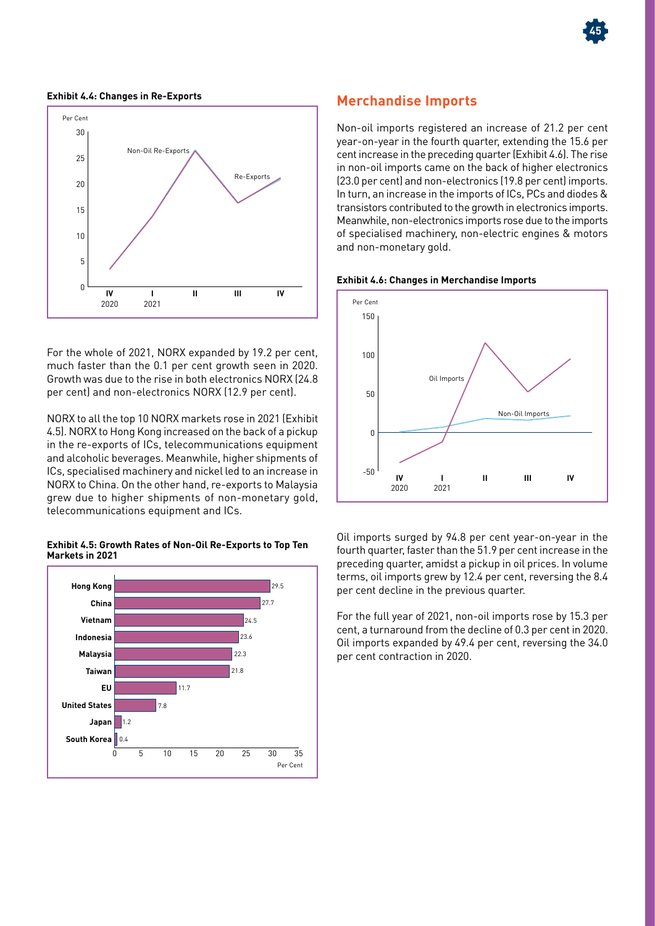

#### **Exhibit 4.4: Changes in Re-Exports**



For the whole of 2021, NORX expanded by 19.2 per cent, much faster than the 0.1 per cent growth seen in 2020. Growth was due to the rise in both electronics NORX (24.8 per cent) and non-electronics NORX (12.9 per cent).

NORX to all the top 10 NORX markets rose in 2021 (Exhibit 4.5). NORX to Hong Kong increased on the back of a pickup in the re-exports of ICs, telecommunications equipment and alcoholic beverages. Meanwhile, higher shipments of ICs, specialised machinery and nickel led to an increase in NORX to China. On the other hand, re-exports to Malaysia grew due to higher shipments of non-monetary gold, telecommunications equipment and ICs.

#### **Exhibit 4.5: Growth Rates of Non-Oil Re-Exports to Top Ten Markets in 2021**



#### **Merchandise Imports**

Non-oil imports registered an increase of 21.2 per cent year-on-year in the fourth quarter, extending the 15.6 per cent increase in the preceding quarter (Exhibit 4.6). The rise in non-oil imports came on the back of higher electronics (23.0 per cent) and non-electronics (19.8 per cent) imports. In turn, an increase in the imports of ICs, PCs and diodes & transistors contributed to the growth in electronics imports. Meanwhile, non-electronics imports rose due to the imports of specialised machinery, non-electric engines & motors and non-monetary gold.





Oil imports surged by 94.8 per cent year-on-year in the fourth quarter, faster than the 51.9 per cent increase in the preceding quarter, amidst a pickup in oil prices. In volume terms, oil imports grew by 12.4 per cent, reversing the 8.4 per cent decline in the previous quarter.

For the full year of 2021, non-oil imports rose by 15.3 per cent, a turnaround from the decline of 0.3 per cent in 2020. Oil imports expanded by 49.4 per cent, reversing the 34.0 per cent contraction in 2020.